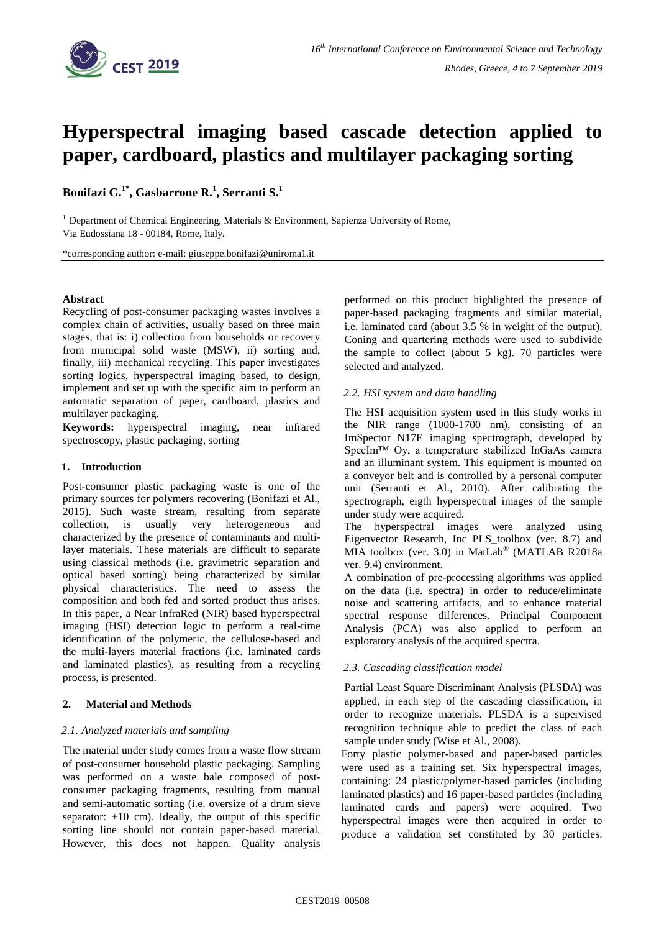

# **Hyperspectral imaging based cascade detection applied to paper, cardboard, plastics and multilayer packaging sorting**

**Bonifazi G.1\* , Gasbarrone R.<sup>1</sup> , Serranti S.<sup>1</sup>**

<sup>1</sup> Department of Chemical Engineering, Materials & Environment, Sapienza University of Rome, Via Eudossiana 18 - 00184, Rome, Italy.

\*corresponding author: e-mail: [giuseppe.bonifazi@uniroma1.it](mailto:giuseppe.bonifazi@uniroma1.it)

## **Abstract**

Recycling of post-consumer packaging wastes involves a complex chain of activities, usually based on three main stages, that is: i) collection from households or recovery from municipal solid waste (MSW), ii) sorting and, finally, iii) mechanical recycling. This paper investigates sorting logics, hyperspectral imaging based, to design, implement and set up with the specific aim to perform an automatic separation of paper, cardboard, plastics and multilayer packaging.

**Keywords:** hyperspectral imaging, near infrared spectroscopy, plastic packaging, sorting

## **1. Introduction**

Post-consumer plastic packaging waste is one of the primary sources for polymers recovering (Bonifazi et Al., 2015). Such waste stream, resulting from separate collection, is usually very heterogeneous and characterized by the presence of contaminants and multilayer materials. These materials are difficult to separate using classical methods (i.e. gravimetric separation and optical based sorting) being characterized by similar physical characteristics. The need to assess the composition and both fed and sorted product thus arises. In this paper, a Near InfraRed (NIR) based hyperspectral imaging (HSI) detection logic to perform a real-time identification of the polymeric, the cellulose-based and the multi-layers material fractions (i.e. laminated cards and laminated plastics), as resulting from a recycling process, is presented.

## **2. Material and Methods**

## *2.1. Analyzed materials and sampling*

The material under study comes from a waste flow stream of post-consumer household plastic packaging. Sampling was performed on a waste bale composed of postconsumer packaging fragments, resulting from manual and semi-automatic sorting (i.e. oversize of a drum sieve separator:  $+10$  cm). Ideally, the output of this specific sorting line should not contain paper-based material. However, this does not happen. Quality analysis performed on this product highlighted the presence of paper-based packaging fragments and similar material, i.e. laminated card (about 3.5 % in weight of the output). Coning and quartering methods were used to subdivide the sample to collect (about 5 kg). 70 particles were selected and analyzed.

## *2.2. HSI system and data handling*

The HSI acquisition system used in this study works in the NIR range (1000-1700 nm), consisting of an ImSpector N17E imaging spectrograph, developed by SpecIm™ Oy, a temperature stabilized InGaAs camera and an illuminant system. This equipment is mounted on a conveyor belt and is controlled by a personal computer unit (Serranti et Al., 2010). After calibrating the spectrograph, eigth hyperspectral images of the sample under study were acquired.

The hyperspectral images were analyzed using Eigenvector Research, Inc PLS\_toolbox (ver. 8.7) and MIA toolbox (ver. 3.0) in MatLab® (MATLAB R2018a ver. 9.4) environment.

A combination of pre-processing algorithms was applied on the data (i.e. spectra) in order to reduce/eliminate noise and scattering artifacts, and to enhance material spectral response differences. Principal Component Analysis (PCA) was also applied to perform an exploratory analysis of the acquired spectra.

## *2.3. Cascading classification model*

Partial Least Square Discriminant Analysis (PLSDA) was applied, in each step of the cascading classification, in order to recognize materials. PLSDA is a supervised recognition technique able to predict the class of each sample under study (Wise et Al., 2008).

Forty plastic polymer-based and paper-based particles were used as a training set. Six hyperspectral images, containing: 24 plastic/polymer-based particles (including laminated plastics) and 16 paper-based particles (including laminated cards and papers) were acquired. Two hyperspectral images were then acquired in order to produce a validation set constituted by 30 particles.